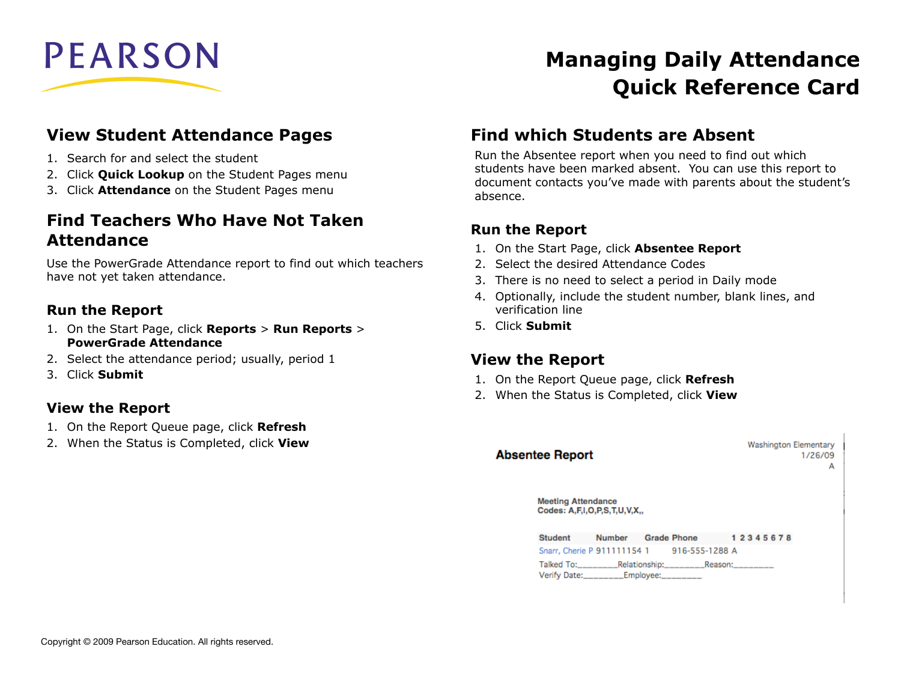

### **View Student Attendance Pages**

- 1. Search for and select the student
- 2. Click **Quick Lookup** on the Student Pages menu
- 3. Click **Attendance** on the Student Pages menu

### **Find Teachers Who Have Not Taken Attendance**

Use the PowerGrade Attendance report to find out which teachers have not yet taken attendance.

#### **Run the Report**

- 1. On the Start Page, click **Reports** > **Run Reports** > **PowerGrade Attendance**
- 2. Select the attendance period; usually, period 1
- 3. Click **Submit**

#### **View the Report**

- 1. On the Report Queue page, click **Refresh**
- 2. When the Status is Completed, click **View**

# **Managing Daily Attendance Quick Reference Card**

### **Find which Students are Absent**

Run the Absentee report when you need to find out which students have been marked absent. You can use this report to document contacts you've made with parents about the student's absence.

#### **Run the Report**

- 1. On the Start Page, click **Absentee Report**
- 2. Select the desired Attendance Codes
- 3. There is no need to select a period in Daily mode
- 4. Optionally, include the student number, blank lines, and verification line
- 5. Click **Submit**

### **View the Report**

- 1. On the Report Queue page, click **Refresh**
- 2. When the Status is Completed, click **View**

| <b>Absentee Report</b> |                                                           |                                            |  | <b>Washington Elementary</b><br>1/26/09 | A |
|------------------------|-----------------------------------------------------------|--------------------------------------------|--|-----------------------------------------|---|
|                        | <b>Meeting Attendance</b><br>Codes: A,F,I,O,P,S,T,U,V,X,, |                                            |  |                                         |   |
| <b>Student</b>         |                                                           | Number Grade Phone 12345678                |  |                                         |   |
|                        |                                                           | Snarr, Cherie P 911111154 1 916-555-1288 A |  |                                         |   |
|                        |                                                           | Verify Date:________Employee:________      |  |                                         |   |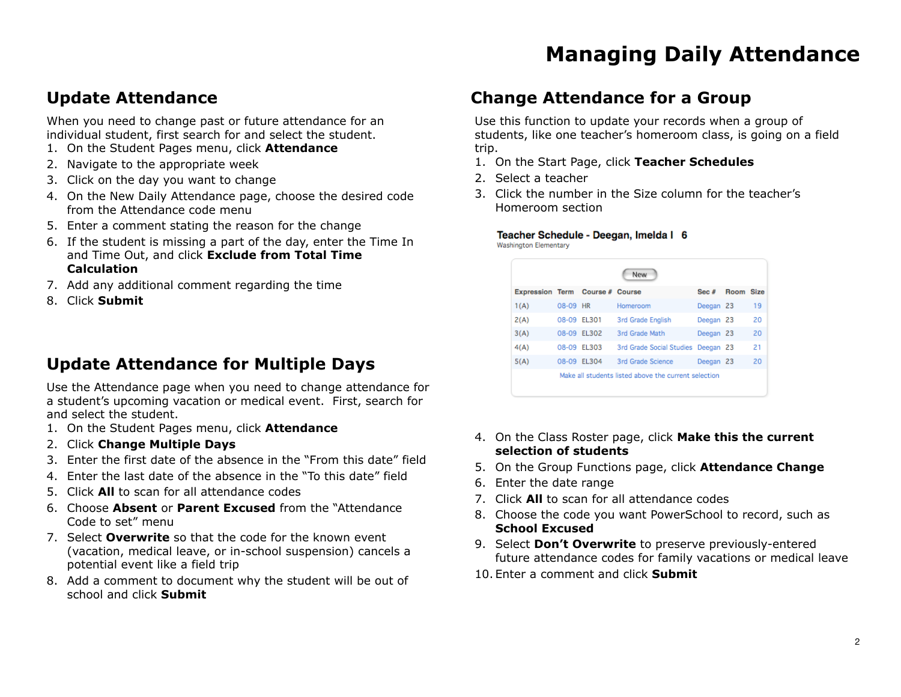### **Update Attendance**

When you need to change past or future attendance for an individual student, first search for and select the student.

- 1. On the Student Pages menu, click **Attendance**
- 2. Navigate to the appropriate week
- 3. Click on the day you want to change
- 4. On the New Daily Attendance page, choose the desired code from the Attendance code menu
- 5. Enter a comment stating the reason for the change
- 6. If the student is missing a part of the day, enter the Time In and Time Out, and click **Exclude from Total Time Calculation**
- 7. Add any additional comment regarding the time
- 8. Click **Submit**

## **Update Attendance for Multiple Days**

Use the Attendance page when you need to change attendance for a student's upcoming vacation or medical event. First, search for and select the student.

- 1. On the Student Pages menu, click **Attendance**
- 2. Click **Change Multiple Days**
- 3. Enter the first date of the absence in the "From this date" field
- 4. Enter the last date of the absence in the "To this date" field
- 5. Click **All** to scan for all attendance codes
- 6. Choose **Absent** or **Parent Excused** from the "Attendance Code to set" menu
- 7. Select **Overwrite** so that the code for the known event (vacation, medical leave, or in-school suspension) cancels a potential event like a field trip
- 8. Add a comment to document why the student will be out of school and click **Submit**

## **Change Attendance for a Group**

Use this function to update your records when a group of students, like one teacher's homeroom class, is going on a field trip.

- 1. On the Start Page, click **Teacher Schedules**
- 2. Select a teacher
- 3. Click the number in the Size column for the teacher's Homeroom section

Teacher Schedule - Deegan, Imelda | 6

**Washington Elementary** 

| New                                    |             |             |                                                      |           |           |    |  |  |  |
|----------------------------------------|-------------|-------------|------------------------------------------------------|-----------|-----------|----|--|--|--|
| <b>Expression Term Course # Course</b> |             |             |                                                      | Sec#      | Room Size |    |  |  |  |
| 1(A)                                   | 08-09 HR    |             | Homeroom                                             | Deegan 23 |           | 19 |  |  |  |
| 2(A)                                   | 08-09 EL301 |             | 3rd Grade English                                    | Deegan 23 |           | 20 |  |  |  |
| 3(A)                                   |             | 08-09 EL302 | 3rd Grade Math                                       | Deegan 23 |           | 20 |  |  |  |
| 4(A)                                   |             | 08-09 EL303 | 3rd Grade Social Studies Deegan 23                   |           |           | 21 |  |  |  |
| 5(A)                                   |             | 08-09 EL304 | 3rd Grade Science                                    | Deegan 23 |           | 20 |  |  |  |
|                                        |             |             | Make all students listed above the current selection |           |           |    |  |  |  |

- 4. On the Class Roster page, click **Make this the current selection of students**
- 5. On the Group Functions page, click **Attendance Change**
- 6. Enter the date range
- 7. Click **All** to scan for all attendance codes
- 8. Choose the code you want PowerSchool to record, such as **School Excused**
- 9. Select **Don't Overwrite** to preserve previously-entered future attendance codes for family vacations or medical leave
- 10. Enter a comment and click **Submit**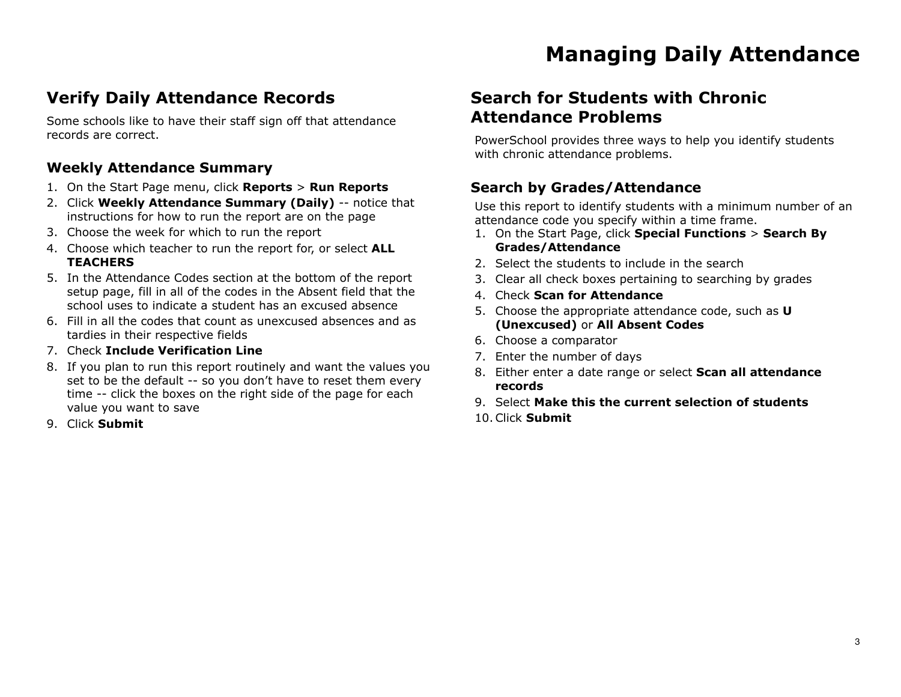## **Verify Daily Attendance Records**

Some schools like to have their staff sign off that attendance records are correct.

#### **Weekly Attendance Summary**

- 1. On the Start Page menu, click **Reports** > **Run Reports**
- 2. Click **Weekly Attendance Summary (Daily)** -- notice that instructions for how to run the report are on the page
- 3. Choose the week for which to run the report
- 4. Choose which teacher to run the report for, or select **ALL TEACHERS**
- 5. In the Attendance Codes section at the bottom of the report setup page, fill in all of the codes in the Absent field that the school uses to indicate a student has an excused absence
- 6. Fill in all the codes that count as unexcused absences and as tardies in their respective fields
- 7. Check **Include Verification Line**
- 8. If you plan to run this report routinely and want the values you set to be the default -- so you don't have to reset them every time -- click the boxes on the right side of the page for each value you want to save
- 9. Click **Submit**

## **Search for Students with Chronic Attendance Problems**

PowerSchool provides three ways to help you identify students with chronic attendance problems.

#### **Search by Grades/Attendance**

Use this report to identify students with a minimum number of an attendance code you specify within a time frame.

- 1. On the Start Page, click **Special Functions** > **Search By Grades/Attendance**
- 2. Select the students to include in the search
- 3. Clear all check boxes pertaining to searching by grades
- 4. Check **Scan for Attendance**
- 5. Choose the appropriate attendance code, such as **U (Unexcused)** or **All Absent Codes**
- 6. Choose a comparator
- 7. Enter the number of days
- 8. Either enter a date range or select **Scan all attendance records**
- 9. Select **Make this the current selection of students**
- 10.Click **Submit**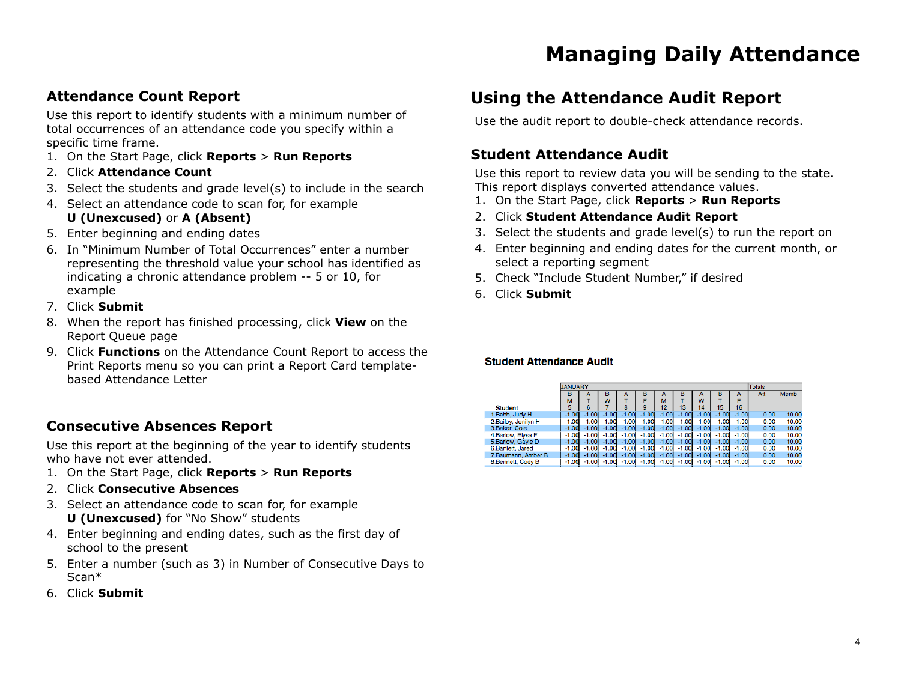#### **Attendance Count Report**

Use this report to identify students with a minimum number of total occurrences of an attendance code you specify within a specific time frame.

- 1. On the Start Page, click **Reports** > **Run Reports**
- 2. Click **Attendance Count**
- 3. Select the students and grade level(s) to include in the search
- 4. Select an attendance code to scan for, for example **U (Unexcused)** or **A (Absent)**
- 5. Enter beginning and ending dates
- 6. In "Minimum Number of Total Occurrences" enter a number representing the threshold value your school has identified as indicating a chronic attendance problem -- 5 or 10, for example
- 7. Click **Submit**
- 8. When the report has finished processing, click **View** on the Report Queue page
- 9. Click **Functions** on the Attendance Count Report to access the Print Reports menu so you can print a Report Card templatebased Attendance Letter

#### **Consecutive Absences Report**

Use this report at the beginning of the year to identify students who have not ever attended.

- 1. On the Start Page, click **Reports** > **Run Reports**
- 2. Click **Consecutive Absences**
- 3. Select an attendance code to scan for, for example **U (Unexcused)** for "No Show" students
- 4. Enter beginning and ending dates, such as the first day of school to the present
- 5. Enter a number (such as 3) in Number of Consecutive Days to Scan\*
- 6. Click **Submit**

## **Using the Attendance Audit Report**

Use the audit report to double-check attendance records.

#### **Student Attendance Audit**

Use this report to review data you will be sending to the state. This report displays converted attendance values.

- 1. On the Start Page, click **Reports** > **Run Reports**
- 2. Click **Student Attendance Audit Report**
- 3. Select the students and grade level(s) to run the report on
- 4. Enter beginning and ending dates for the current month, or select a reporting segment
- 5. Check "Include Student Number," if desired
- 6. Click **Submit**

#### **Student Attendance Audit**

|                      | <b>JANUARY</b> |         |         |         |         |         |         | Totals  |         |         |       |       |
|----------------------|----------------|---------|---------|---------|---------|---------|---------|---------|---------|---------|-------|-------|
|                      | в              |         | в       |         | в       |         | в       |         | в       | А       | Att   | Memb  |
|                      | м              |         | w       |         |         | м       |         | w       |         |         |       |       |
| <b>Student</b>       | 5              | 6       |         |         |         | 12      | 13      | 14      | 15      | 16      |       |       |
| 1.Babb, Judy H       | $-1.00$        | $-1.00$ | $-1.00$ | $-1.00$ | $-1.00$ | $-1.00$ | $-1.00$ | $-1.00$ | $-1.00$ | $-1.00$ | 0.00  | 10.00 |
| 2. Bailey, Jenilyn H | $-1.00$        | $-1.00$ | $-1.00$ | $-1.00$ | $-1.00$ | $-1.00$ | $-1.00$ | $-1.00$ | $-1.00$ | $-1.00$ | 0.00  | 10.00 |
| 3. Baker, Cole       | $-1.00$        | $-1.00$ | $-1.00$ | $-1.00$ | $-1.00$ | $-1.00$ | $-1.00$ | $-1.00$ | $-1.00$ | $-1.00$ | 0.00  | 10.00 |
| 4.Barlow, Elvsa F    | $-1.00$        | $-1.00$ | $-1.00$ | $-1.00$ | $-1.00$ | $-1.00$ | $-1.00$ | $-1.00$ | $-1.00$ | $-1.00$ | 0.00  | 10.00 |
| 5.Barlow, Gayle D    | $-1.00$        | $-1.00$ | $-1.00$ | $-1.00$ | $-1.00$ | $-1.00$ | $-1.00$ | $-1.00$ | $-1.00$ | $-1.00$ | 0.00  | 10.00 |
| 6.Bartlett, Jared    | $-1.00$        | $-1.00$ | $-1.00$ | $-1.00$ | $-1.00$ | $-1.00$ | $-1.00$ | $-1.00$ | $-1.00$ | $-1.00$ | 0.00  | 10.00 |
| 7.Baumann, Amber B   | $-1.00$        | $-1.00$ | $-1.00$ | $-1.00$ | $-1.00$ | $-1.00$ | $-1.00$ | $-1.00$ | $-1.00$ | $-1.00$ | 0.00  | 10.00 |
| 8.Bennett, Cody B    | $-1.00$        | $-1.00$ | $-1.00$ | $-1.00$ | $-1.00$ | $-1.00$ | $-1.00$ | $-1.00$ | $-1.00$ | $-1.00$ | 0.00  | 10.00 |
|                      | .              | .       | .       | .       | $ -$    | $-1$    | .       | .       | --      | .       | - - - | -- -- |